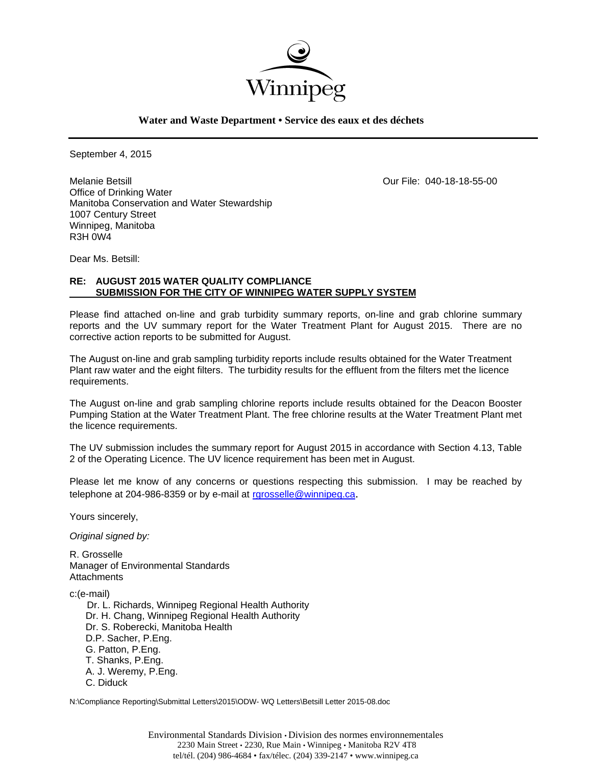

**Water and Waste Department • Service des eaux et des déchets**

September 4, 2015

Melanie Betsill Our File: 040-18-18-55-00 Office of Drinking Water Manitoba Conservation and Water Stewardship 1007 Century Street Winnipeg, Manitoba R3H 0W4

Dear Ms. Betsill:

# **RE: AUGUST 2015 WATER QUALITY COMPLIANCE SUBMISSION FOR THE CITY OF WINNIPEG WATER SUPPLY SYSTEM**

Please find attached on-line and grab turbidity summary reports, on-line and grab chlorine summary reports and the UV summary report for the Water Treatment Plant for August 2015. There are no corrective action reports to be submitted for August.

The August on-line and grab sampling turbidity reports include results obtained for the Water Treatment Plant raw water and the eight filters. The turbidity results for the effluent from the filters met the licence requirements.

The August on-line and grab sampling chlorine reports include results obtained for the Deacon Booster Pumping Station at the Water Treatment Plant. The free chlorine results at the Water Treatment Plant met the licence requirements.

The UV submission includes the summary report for August 2015 in accordance with Section 4.13, Table 2 of the Operating Licence. The UV licence requirement has been met in August.

Please let me know of any concerns or questions respecting this submission. I may be reached by telephone at 204-986-8359 or by e-mail at rgrosselle@winnipeg.ca.

Yours sincerely,

*Original signed by:* 

R. Grosselle Manager of Environmental Standards **Attachments** 

c:(e-mail)

 Dr. L. Richards, Winnipeg Regional Health Authority Dr. H. Chang, Winnipeg Regional Health Authority Dr. S. Roberecki, Manitoba Health D.P. Sacher, P.Eng. G. Patton, P.Eng. T. Shanks, P.Eng. A. J. Weremy, P.Eng. C. Diduck

N:\Compliance Reporting\Submittal Letters\2015\ODW- WQ Letters\Betsill Letter 2015-08.doc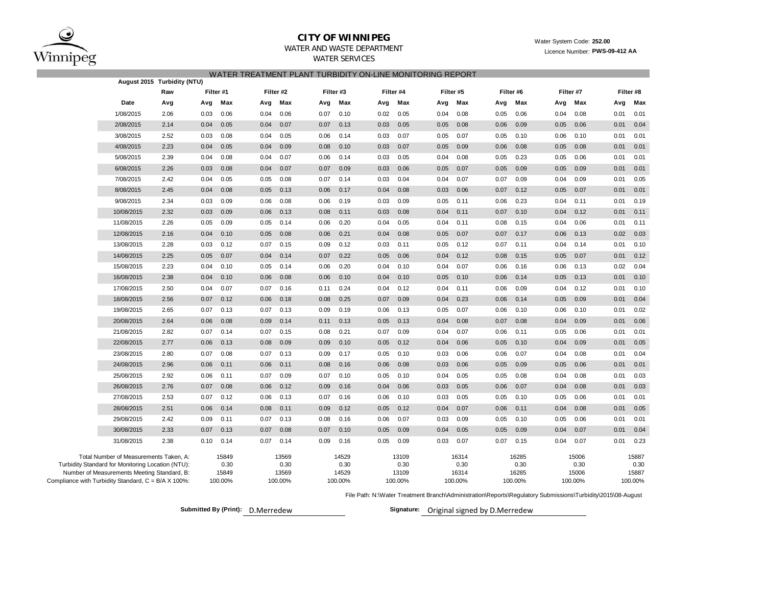

# **CITY OF WINNIPEG**

## WATER AND WASTE DEPARTMENT

WATER SERVICES

#### Water System Code: **252.00** Licence Number: **PWS-09-412 AA**

| WATER TREATMENT PLANT TURBIDITY ON-LINE MONITORING REPORT |
|-----------------------------------------------------------|
|-----------------------------------------------------------|

|                                                                                                    | August 2015 Turbidity (NTU)                                                                 |      |           |                  |      |                  |           |                  |      |                  |      |                  |      |                  |      |                  |      |                  |  |
|----------------------------------------------------------------------------------------------------|---------------------------------------------------------------------------------------------|------|-----------|------------------|------|------------------|-----------|------------------|------|------------------|------|------------------|------|------------------|------|------------------|------|------------------|--|
|                                                                                                    |                                                                                             | Raw  | Filter #1 |                  |      | Filter #2        | Filter #3 |                  |      | Filter #4        |      | Filter #5        |      | Filter #6        |      | Filter #7        |      |                  |  |
|                                                                                                    | Date                                                                                        | Avg  | Avg       | Max              | Avg  | Max              | Avg       | Max              | Avg  | Max              | Avg  | Max              | Avg  | Max              |      | Max<br>Avg       |      | Max<br>Avg       |  |
|                                                                                                    | 1/08/2015                                                                                   | 2.06 | 0.03      | 0.06             | 0.04 | 0.06             | 0.07      | 0.10             | 0.02 | 0.05             | 0.04 | 0.08             | 0.05 | 0.06             | 0.04 | 0.08             | 0.01 | 0.01             |  |
|                                                                                                    | 2/08/2015                                                                                   | 2.14 | 0.04      | 0.05             | 0.04 | 0.07             | 0.07      | 0.13             | 0.03 | 0.05             | 0.05 | 0.08             | 0.06 | 0.09             | 0.05 | 0.06             | 0.01 | 0.04             |  |
|                                                                                                    | 3/08/2015                                                                                   | 2.52 | 0.03      | 0.08             | 0.04 | 0.05             | 0.06      | 0.14             | 0.03 | 0.07             | 0.05 | 0.07             | 0.05 | 0.10             | 0.06 | 0.10             | 0.01 | 0.01             |  |
|                                                                                                    | 4/08/2015                                                                                   | 2.23 | 0.04      | 0.05             | 0.04 | 0.09             | 0.08      | 0.10             | 0.03 | 0.07             | 0.05 | 0.09             | 0.06 | 0.08             | 0.05 | 0.08             | 0.01 | 0.01             |  |
|                                                                                                    | 5/08/2015                                                                                   | 2.39 | 0.04      | 0.08             | 0.04 | 0.07             | 0.06      | 0.14             | 0.03 | 0.05             | 0.04 | 0.08             | 0.05 | 0.23             | 0.05 | 0.06             | 0.01 | 0.01             |  |
|                                                                                                    | 6/08/2015                                                                                   | 2.26 | 0.03      | 0.08             | 0.04 | 0.07             | 0.07      | 0.09             | 0.03 | 0.06             | 0.05 | 0.07             | 0.05 | 0.09             | 0.05 | 0.09             | 0.01 | 0.01             |  |
|                                                                                                    | 7/08/2015                                                                                   | 2.42 | 0.04      | 0.05             | 0.05 | 0.08             | 0.07      | 0.14             | 0.03 | 0.04             | 0.04 | 0.07             | 0.07 | 0.09             | 0.04 | 0.09             | 0.01 | 0.05             |  |
|                                                                                                    | 8/08/2015                                                                                   | 2.45 | 0.04      | 0.08             | 0.05 | 0.13             | 0.06      | 0.17             | 0.04 | 0.08             | 0.03 | 0.06             | 0.07 | 0.12             | 0.05 | 0.07             | 0.01 | 0.01             |  |
|                                                                                                    | 9/08/2015                                                                                   | 2.34 | 0.03      | 0.09             | 0.06 | 0.08             | 0.06      | 0.19             | 0.03 | 0.09             | 0.05 | 0.11             | 0.06 | 0.23             | 0.04 | 0.11             | 0.01 | 0.19             |  |
|                                                                                                    | 10/08/2015                                                                                  | 2.32 | 0.03      | 0.09             | 0.06 | 0.13             | 0.08      | 0.11             | 0.03 | 0.08             | 0.04 | 0.11             | 0.07 | 0.10             | 0.04 | 0.12             | 0.01 | 0.11             |  |
|                                                                                                    | 11/08/2015                                                                                  | 2.26 | 0.05      | 0.09             | 0.05 | 0.14             | 0.06      | 0.20             | 0.04 | 0.05             | 0.04 | 0.11             | 0.08 | 0.15             | 0.04 | 0.06             | 0.01 | 0.11             |  |
|                                                                                                    | 12/08/2015                                                                                  | 2.16 | 0.04      | 0.10             | 0.05 | 0.08             | 0.06      | 0.21             | 0.04 | 0.08             | 0.05 | 0.07             | 0.07 | 0.17             | 0.06 | 0.13             | 0.02 | 0.03             |  |
|                                                                                                    | 13/08/2015                                                                                  | 2.28 | 0.03      | 0.12             | 0.07 | 0.15             | 0.09      | 0.12             | 0.03 | 0.11             | 0.05 | 0.12             | 0.07 | 0.11             | 0.04 | 0.14             | 0.01 | 0.10             |  |
|                                                                                                    | 14/08/2015                                                                                  | 2.25 | 0.05      | 0.07             | 0.04 | 0.14             | 0.07      | 0.22             | 0.05 | 0.06             | 0.04 | 0.12             | 0.08 | 0.15             | 0.05 | 0.07             | 0.01 | 0.12             |  |
|                                                                                                    | 15/08/2015                                                                                  | 2.23 | 0.04      | 0.10             | 0.05 | 0.14             | 0.06      | 0.20             | 0.04 | 0.10             | 0.04 | 0.07             | 0.06 | 0.16             | 0.06 | 0.13             | 0.02 | 0.04             |  |
|                                                                                                    | 16/08/2015                                                                                  | 2.38 | 0.04      | 0.10             | 0.06 | 0.08             | 0.06      | 0.10             | 0.04 | 0.10             | 0.05 | 0.10             | 0.06 | 0.14             | 0.05 | 0.13             | 0.01 | 0.10             |  |
|                                                                                                    | 17/08/2015                                                                                  | 2.50 | 0.04      | 0.07             | 0.07 | 0.16             | 0.11      | 0.24             | 0.04 | 0.12             | 0.04 | 0.11             | 0.06 | 0.09             | 0.04 | 0.12             | 0.01 | 0.10             |  |
|                                                                                                    | 18/08/2015                                                                                  | 2.56 | 0.07      | 0.12             | 0.06 | 0.18             | 0.08      | 0.25             | 0.07 | 0.09             | 0.04 | 0.23             | 0.06 | 0.14             | 0.05 | 0.09             | 0.01 | 0.04             |  |
|                                                                                                    | 19/08/2015                                                                                  | 2.65 | 0.07      | 0.13             | 0.07 | 0.13             | 0.09      | 0.19             | 0.06 | 0.13             | 0.05 | 0.07             | 0.06 | 0.10             | 0.06 | 0.10             | 0.01 | 0.02             |  |
|                                                                                                    | 20/08/2015                                                                                  | 2.64 | 0.06      | 0.08             | 0.09 | 0.14             | 0.11      | 0.13             | 0.05 | 0.13             | 0.04 | 0.08             | 0.07 | 0.08             | 0.04 | 0.09             | 0.01 | 0.06             |  |
|                                                                                                    | 21/08/2015                                                                                  | 2.82 | 0.07      | 0.14             | 0.07 | 0.15             | 0.08      | 0.21             | 0.07 | 0.09             | 0.04 | 0.07             | 0.06 | 0.11             | 0.05 | 0.06             | 0.01 | 0.01             |  |
|                                                                                                    | 22/08/2015                                                                                  | 2.77 | 0.06      | 0.13             | 0.08 | 0.09             | 0.09      | 0.10             | 0.05 | 0.12             | 0.04 | 0.06             | 0.05 | 0.10             | 0.04 | 0.09             | 0.01 | 0.05             |  |
|                                                                                                    | 23/08/2015                                                                                  | 2.80 | 0.07      | 0.08             | 0.07 | 0.13             | 0.09      | 0.17             | 0.05 | 0.10             | 0.03 | 0.06             | 0.06 | 0.07             | 0.04 | 0.08             | 0.01 | 0.04             |  |
|                                                                                                    | 24/08/2015                                                                                  | 2.96 | 0.06      | 0.11             | 0.06 | 0.11             | 0.08      | 0.16             | 0.06 | 0.08             | 0.03 | 0.06             | 0.05 | 0.09             | 0.05 | 0.06             | 0.01 | 0.01             |  |
|                                                                                                    | 25/08/2015                                                                                  | 2.92 | 0.06      | 0.11             | 0.07 | 0.09             | 0.07      | 0.10             | 0.05 | 0.10             | 0.04 | 0.05             | 0.05 | 0.08             | 0.04 | 0.08             | 0.01 | 0.03             |  |
|                                                                                                    | 26/08/2015                                                                                  | 2.76 | 0.07      | 0.08             | 0.06 | 0.12             | 0.09      | 0.16             | 0.04 | 0.06             | 0.03 | 0.05             | 0.06 | 0.07             | 0.04 | 0.08             | 0.01 | 0.03             |  |
|                                                                                                    | 27/08/2015                                                                                  | 2.53 | 0.07      | 0.12             | 0.06 | 0.13             | 0.07      | 0.16             | 0.06 | 0.10             | 0.03 | 0.05             | 0.05 | 0.10             | 0.05 | 0.06             | 0.01 | 0.01             |  |
|                                                                                                    | 28/08/2015                                                                                  | 2.51 | 0.06      | 0.14             | 0.08 | 0.11             | 0.09      | 0.12             | 0.05 | 0.12             | 0.04 | 0.07             | 0.06 | 0.11             | 0.04 | 0.08             | 0.01 | 0.05             |  |
|                                                                                                    | 29/08/2015                                                                                  | 2.42 | 0.09      | 0.11             | 0.07 | 0.13             | 0.08      | 0.16             | 0.06 | 0.07             | 0.03 | 0.09             | 0.05 | 0.10             | 0.05 | 0.06             | 0.01 | 0.01             |  |
|                                                                                                    | 30/08/2015                                                                                  | 2.33 | 0.07      | 0.13             | 0.07 | 0.08             | 0.07      | 0.10             | 0.05 | 0.09             | 0.04 | 0.05             | 0.05 | 0.09             | 0.04 | 0.07             | 0.01 | 0.04             |  |
|                                                                                                    | 31/08/2015                                                                                  | 2.38 | 0.10      | 0.14             | 0.07 | 0.14             | 0.09      | 0.16             | 0.05 | 0.09             | 0.03 | 0.07             | 0.07 | 0.15             | 0.04 | 0.07             | 0.01 | 0.23             |  |
|                                                                                                    | Total Number of Measurements Taken, A:<br>Turbidity Standard for Monitoring Location (NTU): |      |           | 15849<br>0.30    |      | 13569<br>0.30    |           | 14529<br>0.30    |      | 13109<br>0.30    |      | 16314<br>0.30    |      | 16285<br>0.30    |      | 15006<br>0.30    |      | 15887<br>0.30    |  |
| Number of Measurements Meeting Standard, B:<br>Compliance with Turbidity Standard, C = B/A X 100%: |                                                                                             |      |           | 15849<br>100.00% |      | 13569<br>100.00% |           | 14529<br>100.00% |      | 13109<br>100.00% |      | 16314<br>100.00% |      | 16285<br>100.00% |      | 15006<br>100.00% |      | 15887<br>100.00% |  |

File Path: N:\Water Treatment Branch\Administration\Reports\Regulatory Submissions\Turbidity\2015\08-August

**Submitted By (Print): D.Merredew** 

Signature: Original signed by D.Merredew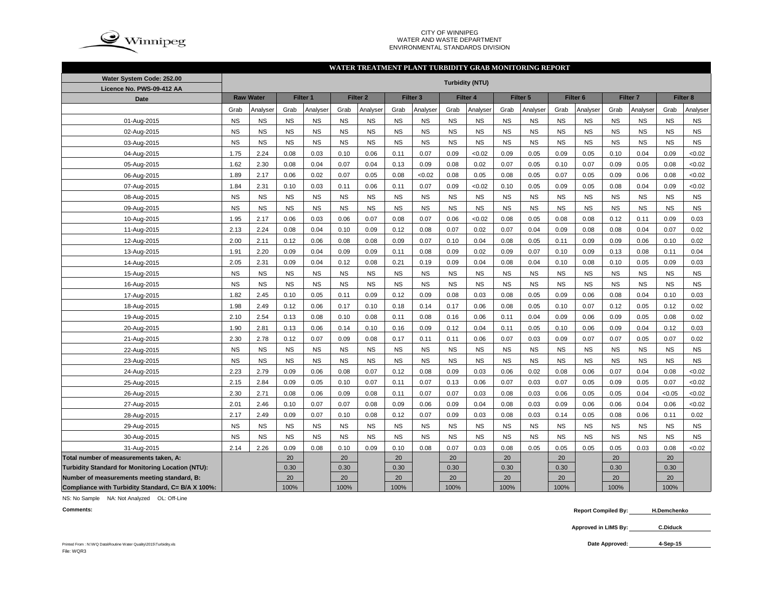

#### CITY OF WINNIPEG WATER AND WASTE DEPARTMENTENVIRONMENTAL STANDARDS DIVISION

#### **WATER TREATMENT PLANT TURBIDITY GRAB MONITORING REPORT**

| Water System Code: 252.00                          | <b>Turbidity (NTU)</b> |                  |           |           |           |                     |           |                     |                 |           |           |           |                     |           |                     |           |                     |           |
|----------------------------------------------------|------------------------|------------------|-----------|-----------|-----------|---------------------|-----------|---------------------|-----------------|-----------|-----------|-----------|---------------------|-----------|---------------------|-----------|---------------------|-----------|
| Licence No. PWS-09-412 AA                          |                        |                  |           |           |           |                     |           |                     |                 |           |           |           |                     |           |                     |           |                     |           |
| Date                                               |                        | <b>Raw Water</b> | Filter 1  |           |           | Filter <sub>2</sub> |           | Filter <sub>3</sub> | <b>Filter 4</b> |           | Filter 5  |           | Filter <sub>6</sub> |           | Filter <sub>7</sub> |           | Filter <sub>8</sub> |           |
|                                                    | Grab                   | Analyser         | Grab      | Analyser  | Grab      | Analyser            | Grab      | Analyser            | Grab            | Analyser  | Grab      | Analyser  | Grab                | Analyser  | Grab                | Analyser  | Grab                | Analyser  |
| 01-Aug-2015                                        | <b>NS</b>              | <b>NS</b>        | <b>NS</b> | <b>NS</b> | <b>NS</b> | <b>NS</b>           | <b>NS</b> | <b>NS</b>           | <b>NS</b>       | <b>NS</b> | <b>NS</b> | <b>NS</b> | <b>NS</b>           | <b>NS</b> | <b>NS</b>           | <b>NS</b> | <b>NS</b>           | <b>NS</b> |
| 02-Aug-2015                                        | <b>NS</b>              | <b>NS</b>        | <b>NS</b> | NS        | <b>NS</b> | <b>NS</b>           | <b>NS</b> | <b>NS</b>           | <b>NS</b>       | <b>NS</b> | <b>NS</b> | <b>NS</b> | <b>NS</b>           | <b>NS</b> | <b>NS</b>           | <b>NS</b> | <b>NS</b>           | <b>NS</b> |
| 03-Aug-2015                                        | <b>NS</b><br><b>NS</b> |                  | <b>NS</b> | <b>NS</b> | <b>NS</b> | <b>NS</b>           | <b>NS</b> | <b>NS</b>           | <b>NS</b>       | <b>NS</b> | <b>NS</b> | <b>NS</b> | <b>NS</b>           | <b>NS</b> | <b>NS</b>           | <b>NS</b> | <b>NS</b>           | <b>NS</b> |
| 04-Aug-2015                                        | 1.75                   | 2.24             | 0.08      | 0.03      | 0.10      | 0.06                | 0.11      | 0.07                | 0.09            | <0.02     | 0.09      | 0.05      | 0.09                | 0.05      | 0.10                | 0.04      | 0.09                | <0.02     |
| 05-Aug-2015                                        | 1.62                   | 2.30             | 0.08      | 0.04      | 0.07      | 0.04                | 0.13      | 0.09                | 0.08            | 0.02      | 0.07      | 0.05      | 0.10                | 0.07      | 0.09                | 0.05      | 0.08                | <0.02     |
| 06-Aug-2015                                        | 1.89                   | 2.17             | 0.06      | 0.02      | 0.07      | 0.05                | 0.08      | < 0.02              | 0.08            | 0.05      | 0.08      | 0.05      | 0.07                | 0.05      | 0.09                | 0.06      | 0.08                | <0.02     |
| 07-Aug-2015                                        | 1.84                   | 2.31             | 0.10      | 0.03      | 0.11      | 0.06                | 0.11      | 0.07                | 0.09            | <0.02     | 0.10      | 0.05      | 0.09                | 0.05      | 0.08                | 0.04      | 0.09                | <0.02     |
| 08-Aug-2015                                        | <b>NS</b>              | <b>NS</b>        | <b>NS</b> | <b>NS</b> | <b>NS</b> | <b>NS</b>           | <b>NS</b> | <b>NS</b>           | <b>NS</b>       | <b>NS</b> | <b>NS</b> | <b>NS</b> | <b>NS</b>           | <b>NS</b> | <b>NS</b>           | <b>NS</b> | <b>NS</b>           | <b>NS</b> |
| 09-Aug-2015                                        | <b>NS</b>              | <b>NS</b>        | <b>NS</b> | <b>NS</b> | <b>NS</b> | <b>NS</b>           | <b>NS</b> | <b>NS</b>           | <b>NS</b>       | <b>NS</b> | <b>NS</b> | <b>NS</b> | <b>NS</b>           | <b>NS</b> | <b>NS</b>           | <b>NS</b> | <b>NS</b>           | <b>NS</b> |
| 10-Aug-2015                                        | 1.95                   | 2.17             | 0.06      | 0.03      | 0.06      | 0.07                | 0.08      | 0.07                | 0.06            | <0.02     | 0.08      | 0.05      | 0.08                | 0.08      | 0.12                | 0.11      | 0.09                | 0.03      |
| 11-Aug-2015                                        | 2.13                   | 2.24             | 0.08      | 0.04      | 0.10      | 0.09                | 0.12      | 0.08                | 0.07            | 0.02      | 0.07      | 0.04      | 0.09                | 0.08      | 0.08                | 0.04      | 0.07                | 0.02      |
| 12-Aug-2015                                        | 2.00                   | 2.11             | 0.12      | 0.06      | 0.08      | 0.08                | 0.09      | 0.07                | 0.10            | 0.04      | 0.08      | 0.05      | 0.11                | 0.09      | 0.09                | 0.06      | 0.10                | 0.02      |
| 13-Aug-2015                                        | 1.91                   | 2.20             | 0.09      | 0.04      | 0.09      | 0.09                | 0.11      | 0.08                | 0.09            | 0.02      | 0.09      | 0.07      | 0.10                | 0.09      | 0.13                | 0.08      | 0.11                | 0.04      |
| 14-Aug-2015                                        | 2.05                   | 2.31             | 0.09      | 0.04      | 0.12      | 0.08                | 0.21      | 0.19                | 0.09            | 0.04      | 0.08      | 0.04      | 0.10                | 0.08      | 0.10                | 0.05      | 0.09                | 0.03      |
| 15-Aug-2015                                        | <b>NS</b>              | <b>NS</b>        | <b>NS</b> | <b>NS</b> | <b>NS</b> | <b>NS</b>           | <b>NS</b> | <b>NS</b>           | <b>NS</b>       | <b>NS</b> | <b>NS</b> | <b>NS</b> | <b>NS</b>           | <b>NS</b> | <b>NS</b>           | <b>NS</b> | <b>NS</b>           | <b>NS</b> |
| 16-Aug-2015                                        | <b>NS</b>              | <b>NS</b>        | <b>NS</b> | <b>NS</b> | <b>NS</b> | <b>NS</b>           | <b>NS</b> | <b>NS</b>           | <b>NS</b>       | <b>NS</b> | <b>NS</b> | <b>NS</b> | <b>NS</b>           | <b>NS</b> | <b>NS</b>           | <b>NS</b> | <b>NS</b>           | <b>NS</b> |
| 17-Aug-2015                                        | 1.82                   | 2.45             | 0.10      | 0.05      | 0.11      | 0.09                | 0.12      | 0.09                | 0.08            | 0.03      | 0.08      | 0.05      | 0.09                | 0.06      | 0.08                | 0.04      | 0.10                | 0.03      |
| 18-Aug-2015                                        | 1.98                   | 2.49             | 0.12      | 0.06      | 0.17      | 0.10                | 0.18      | 0.14                | 0.17            | 0.06      | 0.08      | 0.05      | 0.10                | 0.07      | 0.12                | 0.05      | 0.12                | 0.02      |
| 19-Aug-2015                                        | 2.10                   | 2.54             | 0.13      | 0.08      | 0.10      | 0.08                | 0.11      | 0.08                | 0.16            | 0.06      | 0.11      | 0.04      | 0.09                | 0.06      | 0.09                | 0.05      | 0.08                | 0.02      |
| 20-Aug-2015                                        | 1.90                   | 2.81             | 0.13      | 0.06      | 0.14      | 0.10                | 0.16      | 0.09                | 0.12            | 0.04      | 0.11      | 0.05      | 0.10                | 0.06      | 0.09                | 0.04      | 0.12                | 0.03      |
| 21-Aug-2015                                        | 2.30                   | 2.78             | 0.12      | 0.07      | 0.09      | 0.08                | 0.17      | 0.11                | 0.11            | 0.06      | 0.07      | 0.03      | 0.09                | 0.07      | 0.07                | 0.05      | 0.07                | 0.02      |
| 22-Aug-2015                                        | <b>NS</b>              | <b>NS</b>        | <b>NS</b> | <b>NS</b> | <b>NS</b> | <b>NS</b>           | <b>NS</b> | <b>NS</b>           | <b>NS</b>       | <b>NS</b> | <b>NS</b> | <b>NS</b> | <b>NS</b>           | <b>NS</b> | <b>NS</b>           | <b>NS</b> | <b>NS</b>           | <b>NS</b> |
| 23-Aug-2015                                        | <b>NS</b>              | <b>NS</b>        | <b>NS</b> | <b>NS</b> | <b>NS</b> | <b>NS</b>           | <b>NS</b> | <b>NS</b>           | <b>NS</b>       | <b>NS</b> | <b>NS</b> | <b>NS</b> | <b>NS</b>           | <b>NS</b> | <b>NS</b>           | <b>NS</b> | <b>NS</b>           | <b>NS</b> |
| 24-Aug-2015                                        | 2.23                   | 2.79             | 0.09      | 0.06      | 0.08      | 0.07                | 0.12      | 0.08                | 0.09            | 0.03      | 0.06      | 0.02      | 0.08                | 0.06      | 0.07                | 0.04      | 0.08                | <0.02     |
| 25-Aug-2015                                        | 2.15                   | 2.84             | 0.09      | 0.05      | 0.10      | 0.07                | 0.11      | 0.07                | 0.13            | 0.06      | 0.07      | 0.03      | 0.07                | 0.05      | 0.09                | 0.05      | 0.07                | <0.02     |
| 26-Aug-2015                                        | 2.30                   | 2.71             | 0.08      | 0.06      | 0.09      | 0.08                | 0.11      | 0.07                | 0.07            | 0.03      | 0.08      | 0.03      | 0.06                | 0.05      | 0.05                | 0.04      | < 0.05              | <0.02     |
| 27-Aug-2015                                        | 2.01                   | 2.46             | 0.10      | 0.07      | 0.07      | 0.08                | 0.09      | 0.06                | 0.09            | 0.04      | 0.08      | 0.03      | 0.09                | 0.06      | 0.06                | 0.04      | 0.06                | <0.02     |
| 28-Aug-2015                                        | 2.17                   | 2.49             | 0.09      | 0.07      | 0.10      | 0.08                | 0.12      | 0.07                | 0.09            | 0.03      | 0.08      | 0.03      | 0.14                | 0.05      | 0.08                | 0.06      | 0.11                | 0.02      |
| 29-Aug-2015                                        | <b>NS</b>              | <b>NS</b>        | <b>NS</b> | <b>NS</b> | <b>NS</b> | <b>NS</b>           | <b>NS</b> | <b>NS</b>           | <b>NS</b>       | <b>NS</b> | <b>NS</b> | <b>NS</b> | <b>NS</b>           | <b>NS</b> | <b>NS</b>           | <b>NS</b> | <b>NS</b>           | <b>NS</b> |
| 30-Aug-2015                                        | <b>NS</b>              | <b>NS</b>        | <b>NS</b> | <b>NS</b> | <b>NS</b> | <b>NS</b>           | <b>NS</b> | <b>NS</b>           | <b>NS</b>       | <b>NS</b> | <b>NS</b> | <b>NS</b> | <b>NS</b>           | <b>NS</b> | <b>NS</b>           | <b>NS</b> | <b>NS</b>           | <b>NS</b> |
| 31-Aug-2015                                        | 2.14                   | 2.26             | 0.09      | 0.08      | 0.10      | 0.09                | 0.10      | 0.08                | 0.07            | 0.03      | 0.08      | 0.05      | 0.05                | 0.05      | 0.05                | 0.03      | 0.08                | < 0.02    |
| Total number of measurements taken, A:             |                        |                  | 20        |           | 20        |                     | 20        |                     | 20              |           | 20        |           | 20                  |           | 20                  |           | 20                  |           |
| Turbidity Standard for Monitoring Location (NTU):  |                        |                  | 0.30      |           | 0.30      |                     | 0.30      |                     | 0.30            |           | 0.30      |           | 0.30                |           | 0.30                |           | 0.30                |           |
| Number of measurements meeting standard, B:        |                        |                  | 20        |           | 20        |                     | 20        |                     | 20              |           | 20        |           | 20                  |           | 20                  |           | 20                  |           |
| Compliance with Turbidity Standard, C= B/A X 100%: |                        |                  | 100%      |           | 100%      |                     | 100%      |                     | 100%            |           | 100%      |           | 100%                |           | 100%                |           | 100%                |           |

NS: No Sample NA: Not Analyzed OL: Off-Line

**Comments:**

 **Report Compiled By: H.Demchenko**

**Approved in LIMS By: C.Diduck**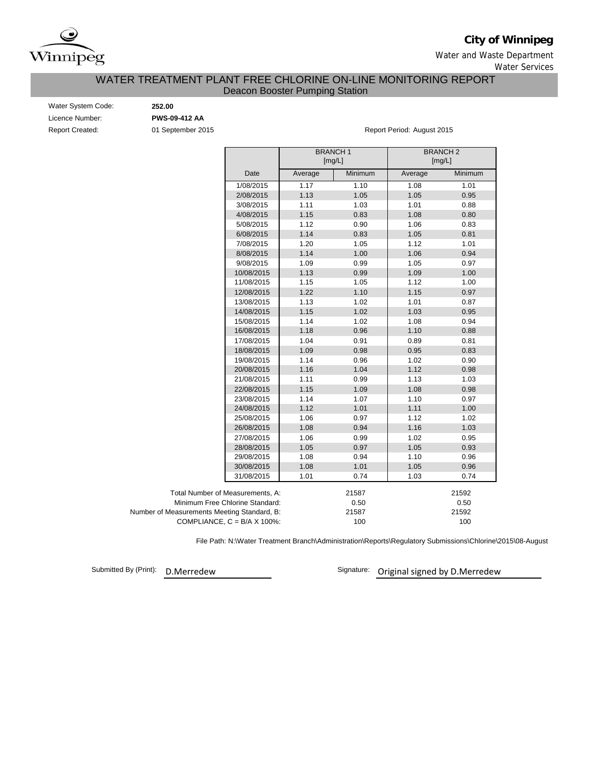

# **City of Winnipeg**

Water and Waste Department Water Services

## Deacon Booster Pumping Station WATER TREATMENT PLANT FREE CHLORINE ON-LINE MONITORING REPORT

Water System Code: **252.00** Licence Number: **PWS-09-412 AA**

Report Created: 01 September 2015 80 and 2015 Report Period: August 2015

|                                             |         | <b>BRANCH1</b><br>[mg/L] |         | <b>BRANCH2</b><br>[mg/L] |  |  |  |  |
|---------------------------------------------|---------|--------------------------|---------|--------------------------|--|--|--|--|
| Date                                        | Average | Minimum                  | Average | Minimum                  |  |  |  |  |
| 1/08/2015                                   | 1.17    | 1.10                     | 1.08    | 1.01                     |  |  |  |  |
| 2/08/2015                                   | 1.13    | 1.05                     | 1.05    | 0.95                     |  |  |  |  |
| 3/08/2015                                   | 1.11    | 1.03                     | 1.01    | 0.88                     |  |  |  |  |
| 4/08/2015                                   | 1.15    | 0.83                     | 1.08    | 0.80                     |  |  |  |  |
| 5/08/2015                                   | 1.12    | 0.90                     | 1.06    | 0.83                     |  |  |  |  |
| 6/08/2015                                   | 1.14    | 0.83                     | 1.05    | 0.81                     |  |  |  |  |
| 7/08/2015                                   | 1.20    | 1.05                     | 1.12    | 1.01                     |  |  |  |  |
| 8/08/2015                                   | 1.14    | 1.00                     | 1.06    | 0.94                     |  |  |  |  |
| 9/08/2015                                   | 1.09    | 0.99                     | 1.05    | 0.97                     |  |  |  |  |
| 10/08/2015                                  | 1.13    | 0.99                     | 1.09    | 1.00                     |  |  |  |  |
| 11/08/2015                                  | 1.15    | 1.05                     | 1.12    | 1.00                     |  |  |  |  |
| 12/08/2015                                  | 1.22    | 1.10                     | 1.15    | 0.97                     |  |  |  |  |
| 13/08/2015                                  | 1.13    | 1.02                     | 1.01    | 0.87                     |  |  |  |  |
| 14/08/2015                                  | 1.15    | 1.02                     | 1.03    | 0.95                     |  |  |  |  |
| 15/08/2015                                  | 1.14    | 1.02                     | 1.08    | 0.94                     |  |  |  |  |
| 16/08/2015                                  | 1.18    | 0.96                     | 1.10    | 0.88                     |  |  |  |  |
| 17/08/2015                                  | 1.04    | 0.91                     | 0.89    | 0.81                     |  |  |  |  |
| 18/08/2015                                  | 1.09    | 0.98                     | 0.95    | 0.83                     |  |  |  |  |
| 19/08/2015                                  | 1.14    | 0.96                     | 1.02    | 0.90                     |  |  |  |  |
| 20/08/2015                                  | 1.16    | 1.04                     | 1.12    | 0.98                     |  |  |  |  |
| 21/08/2015                                  | 1.11    | 0.99                     | 1.13    | 1.03                     |  |  |  |  |
| 22/08/2015                                  | 1.15    | 1.09                     | 1.08    | 0.98                     |  |  |  |  |
| 23/08/2015                                  | 1.14    | 1.07                     | 1.10    | 0.97                     |  |  |  |  |
| 24/08/2015                                  | 1.12    | 1.01                     | 1.11    | 1.00                     |  |  |  |  |
| 25/08/2015                                  | 1.06    | 0.97                     | 1.12    | 1.02                     |  |  |  |  |
| 26/08/2015                                  | 1.08    | 0.94                     | 1.16    | 1.03                     |  |  |  |  |
| 27/08/2015                                  | 1.06    | 0.99                     | 1.02    | 0.95                     |  |  |  |  |
| 28/08/2015                                  | 1.05    | 0.97                     | 1.05    | 0.93                     |  |  |  |  |
| 29/08/2015                                  | 1.08    | 0.94                     | 1.10    | 0.96                     |  |  |  |  |
| 30/08/2015                                  | 1.08    | 1.01                     | 1.05    | 0.96                     |  |  |  |  |
| 31/08/2015                                  | 1.01    | 0.74                     | 1.03    | 0.74                     |  |  |  |  |
| Total Number of Measurements, A:            |         | 21587                    |         | 21592                    |  |  |  |  |
| Minimum Free Chlorine Standard:             |         | 0.50                     |         | 0.50                     |  |  |  |  |
| Number of Measurements Meeting Standard, B: |         | 21587                    |         | 21592                    |  |  |  |  |
| COMPLIANCE, $C = B/A \times 100\%$ :        |         | 100                      |         | 100                      |  |  |  |  |

File Path: N:\Water Treatment Branch\Administration\Reports\Regulatory Submissions\Chlorine\2015\08-August

Submitted By (Print): D.Merredew

Signature: Original signed by D.Merredew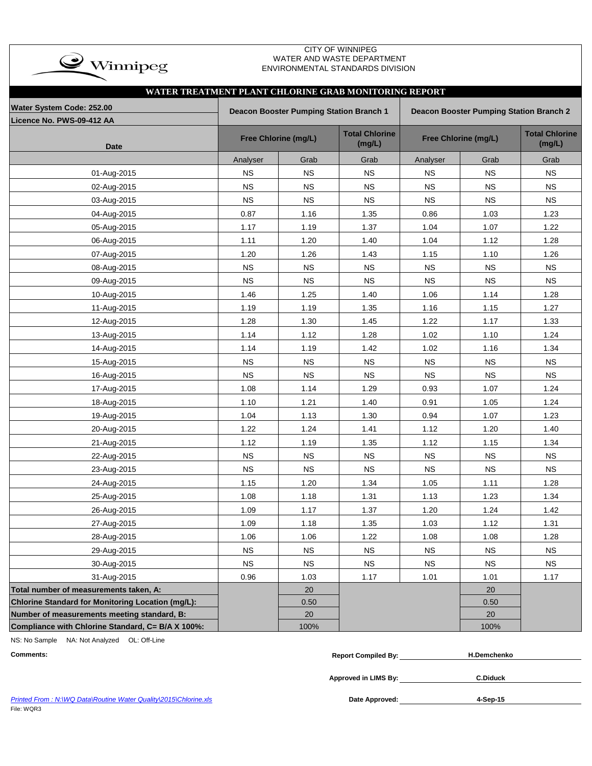| $\rightarrow$ Winnipeg |
|------------------------|
|                        |

### CITY OF WINNIPEG WATER AND WASTE DEPARTMENT ENVIRONMENTAL STANDARDS DIVISION

| WATER TREATMENT PLANT CHLORINE GRAB MONITORING REPORT |             |                                         |                                 |             |                                         |                                 |
|-------------------------------------------------------|-------------|-----------------------------------------|---------------------------------|-------------|-----------------------------------------|---------------------------------|
| Water System Code: 252.00                             |             | Deacon Booster Pumping Station Branch 1 |                                 |             | Deacon Booster Pumping Station Branch 2 |                                 |
| Licence No. PWS-09-412 AA                             |             |                                         |                                 |             |                                         |                                 |
| <b>Date</b>                                           |             | Free Chlorine (mg/L)                    | <b>Total Chlorine</b><br>(mg/L) |             | Free Chlorine (mg/L)                    | <b>Total Chlorine</b><br>(mg/L) |
|                                                       | Analyser    | Grab                                    | Grab                            | Analyser    | Grab                                    | Grab                            |
| 01-Aug-2015                                           | <b>NS</b>   | $_{\rm NS}$                             | <b>NS</b>                       | <b>NS</b>   | <b>NS</b>                               | <b>NS</b>                       |
| 02-Aug-2015                                           | <b>NS</b>   | $_{\rm NS}$                             | <b>NS</b>                       | <b>NS</b>   | <b>NS</b>                               | <b>NS</b>                       |
| 03-Aug-2015                                           | <b>NS</b>   | <b>NS</b>                               | <b>NS</b>                       | <b>NS</b>   | <b>NS</b>                               | <b>NS</b>                       |
| 04-Aug-2015                                           | 0.87        | 1.16                                    | 1.35                            | 0.86        | 1.03                                    | 1.23                            |
| 05-Aug-2015                                           | 1.17        | 1.19                                    | 1.37                            | 1.04        | 1.07                                    | 1.22                            |
| 06-Aug-2015                                           | 1.11        | 1.20                                    | 1.40                            | 1.04        | 1.12                                    | 1.28                            |
| 07-Aug-2015                                           | 1.20        | 1.26                                    | 1.43                            | 1.15        | 1.10                                    | 1.26                            |
| 08-Aug-2015                                           | <b>NS</b>   | $_{\rm NS}$                             | <b>NS</b>                       | <b>NS</b>   | <b>NS</b>                               | <b>NS</b>                       |
| 09-Aug-2015                                           | <b>NS</b>   | <b>NS</b>                               | <b>NS</b>                       | <b>NS</b>   | <b>NS</b>                               | <b>NS</b>                       |
| 10-Aug-2015                                           | 1.46        | 1.25                                    | 1.40                            | 1.06        | 1.14                                    | 1.28                            |
| 11-Aug-2015                                           | 1.19        | 1.19                                    | 1.35                            | 1.16        | 1.15                                    | 1.27                            |
| 12-Aug-2015                                           | 1.28        | 1.30                                    | 1.45                            | 1.22        | 1.17                                    | 1.33                            |
| 13-Aug-2015                                           | 1.14        | 1.12                                    | 1.28                            | 1.02        | 1.10                                    | 1.24                            |
| 14-Aug-2015                                           | 1.14        | 1.19                                    | 1.42                            | 1.02        | 1.16                                    | 1.34                            |
| 15-Aug-2015                                           | <b>NS</b>   | $_{\rm NS}$                             | <b>NS</b>                       | <b>NS</b>   | <b>NS</b>                               | NS                              |
| 16-Aug-2015                                           | <b>NS</b>   | NS                                      | <b>NS</b>                       | <b>NS</b>   | <b>NS</b>                               | <b>NS</b>                       |
| 17-Aug-2015                                           | 1.08        | 1.14                                    | 1.29                            | 0.93        | 1.07                                    | 1.24                            |
| 18-Aug-2015                                           | 1.10        | 1.21                                    | 1.40                            | 0.91        | 1.05                                    | 1.24                            |
| 19-Aug-2015                                           | 1.04        | 1.13                                    | 1.30                            | 0.94        | 1.07                                    | 1.23                            |
| 20-Aug-2015                                           | 1.22        | 1.24                                    | 1.41                            | 1.12        | 1.20                                    | 1.40                            |
| 21-Aug-2015                                           | 1.12        | 1.19                                    | 1.35                            | 1.12        | 1.15                                    | 1.34                            |
| 22-Aug-2015                                           | <b>NS</b>   | $_{\rm NS}$                             | <b>NS</b>                       | <b>NS</b>   | <b>NS</b>                               | <b>NS</b>                       |
| 23-Aug-2015                                           | <b>NS</b>   | $_{\rm NS}$                             | <b>NS</b>                       | <b>NS</b>   | <b>NS</b>                               | $_{\rm NS}$                     |
| 24-Aug-2015                                           | 1.15        | 1.20                                    | 1.34                            | 1.05        | 1.11                                    | 1.28                            |
| 25-Aug-2015                                           | 1.08        | 1.18                                    | 1.31                            | 1.13        | 1.23                                    | 1.34                            |
| 26-Aug-2015                                           | 1.09        | 1.17                                    | 1.37                            | 1.20        | 1.24                                    | 1.42                            |
| 27-Aug-2015                                           | 1.09        | 1.18                                    | 1.35                            | 1.03        | 1.12                                    | 1.31                            |
| 28-Aug-2015                                           | 1.06        | 1.06                                    | 1.22                            | 1.08        | 1.08                                    | 1.28                            |
| 29-Aug-2015                                           | $_{\rm NS}$ | NS                                      | $_{\rm NS}$                     | $_{\rm NS}$ | $_{\rm NS}$                             | <b>NS</b>                       |
| 30-Aug-2015                                           | $_{\rm NS}$ | <b>NS</b>                               | $_{\rm NS}$                     | ${\sf NS}$  | $_{\rm NS}$                             | <b>NS</b>                       |
| 31-Aug-2015                                           | 0.96        | 1.03                                    | 1.17                            | 1.01        | 1.01                                    | 1.17                            |
| Total number of measurements taken, A:                |             | 20                                      |                                 |             | 20                                      |                                 |
| Chlorine Standard for Monitoring Location (mg/L):     |             | 0.50                                    |                                 |             | 0.50                                    |                                 |
| Number of measurements meeting standard, B:           |             | 20                                      |                                 |             | 20                                      |                                 |
| Compliance with Chlorine Standard, C= B/A X 100%:     |             | 100%                                    |                                 |             | 100%                                    |                                 |

|  | Comments | ົ∩mpiled Bv:<br>Renor* | )emchenko |
|--|----------|------------------------|-----------|
|--|----------|------------------------|-----------|

**Approved in LIMS By:**

**C.Diduck**

|            |  | Printed From: N:WQ Data\Routine Water Quality\2015\Chlorine.xls |
|------------|--|-----------------------------------------------------------------|
| File: WQR3 |  |                                                                 |

 $P$ Pate Approved:  $\frac{M}{M}$ 

**4-Sep-15**